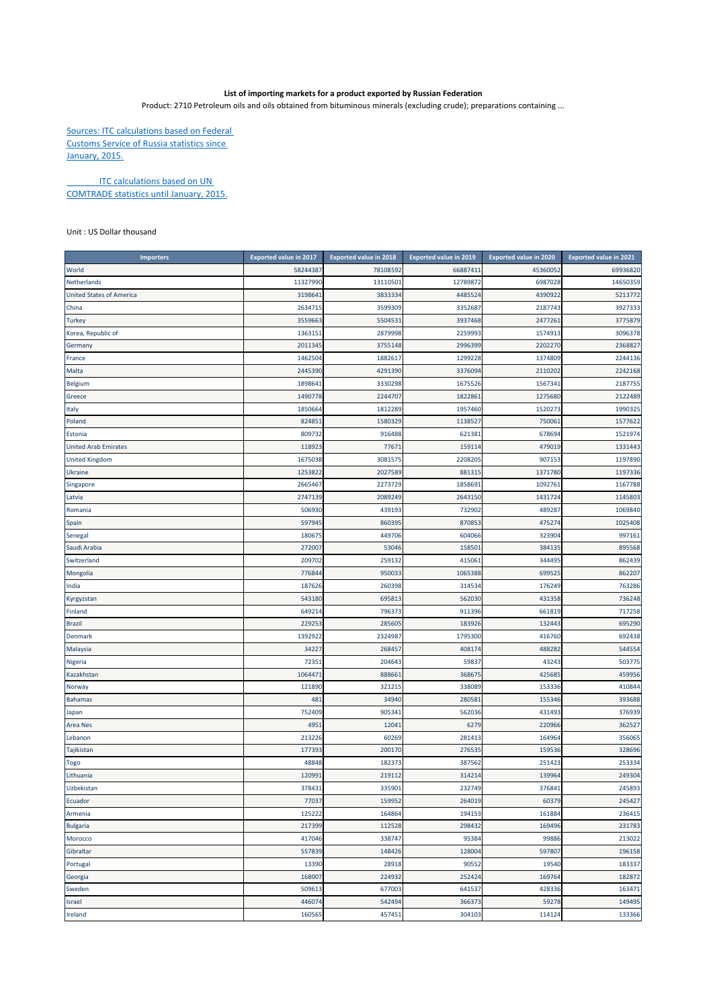## **List of importing markets for a product exported by Russian Federation**

Product: 2710 Petroleum oils and oils obtained from bituminous minerals (excluding crude); preparations containing ...

Sources: ITC calculations based on Federal Customs Service of Russia statistics since January, 2015.

**ITC calculations based on UN** COMTRADE statistics until January, 2015.

Unit : US Dollar thousand

| <b>Importers</b>                | <b>Exported value in 2017</b> | <b>Exported value in 2018</b> | <b>Exported value in 2019</b> | <b>Exported value in 2020</b> | <b>Exported value in 2021</b> |
|---------------------------------|-------------------------------|-------------------------------|-------------------------------|-------------------------------|-------------------------------|
| World                           | 58244387                      | 78108592                      | 66887411                      | 4536005                       | 69936820                      |
| Netherlands                     | 11327990                      | 13110501                      | 12789872                      | 6987028                       | 14650359                      |
| <b>United States of America</b> | 3198641                       | 3833334                       | 4485524                       | 4390922                       | 5213772                       |
| China                           | 2634715                       | 3599309                       | 3352687                       | 2187743                       | 3927333                       |
| <b>Turkey</b>                   | 3559663                       | 5504531                       | 3937468                       | 247726                        | 3775879                       |
| Korea, Republic of              | 1363151                       | 2879998                       | 2259993                       | 157491                        | 3096378                       |
| Germany                         | 2011345                       | 3755148                       | 2996399                       | 2202270                       | 2368827                       |
| France                          | 1462504                       | 1882617                       | 1299228                       | 1374809                       | 2244136                       |
| Malta                           | 2445390                       | 4291390                       | 3376094                       | 2110202                       | 2242168                       |
| Belgium                         | 1898641                       | 3330298                       | 1675526                       | 156734                        | 2187755                       |
| Greece                          | 1490778                       | 2244707                       | 1822861                       | 1275680                       | 2122489                       |
| Italy                           | 1850664                       | 1812289                       | 1957460                       | 1520273                       | 1990325                       |
| Poland                          | 82485                         | 1580329                       | 1138527                       | 75006                         | 1577622                       |
| Estonia                         | 809732                        | 916488                        | 621381                        | 678694                        | 1521974                       |
| <b>United Arab Emirates</b>     | 118923                        | 77671                         | 159114                        | 479019                        | 1331443                       |
| <b>United Kingdom</b>           | 1675038                       | 3081575                       | 2208205                       | 907153                        | 1197890                       |
| Ukraine                         | 1253822                       | 2027589                       | 881315                        | 1371780                       | 1197336                       |
| Singapore                       | 2665467                       | 2273729                       | 1858691                       | 109276:                       | 1167788                       |
| Latvia                          | 2747139                       | 2089249                       | 2643150                       | 1431724                       | 1145803                       |
| Romania                         | 506930                        | 439193                        | 732902                        | 489287                        | 1069840                       |
| Spain                           | 597945                        | 860395                        | 870853                        | 475274                        | 1025408                       |
| Senegal                         | 180675                        | 449706                        | 604066                        | 323904                        | 997161                        |
| Saudi Arabia                    | 272007                        | 53046                         | 158501                        | 38413                         | 895568                        |
| Switzerland                     | 209702                        | 259132                        | 415061                        | 344495                        | 862439                        |
| Mongolia                        | 776844                        | 950033                        | 1065388                       | 699525                        | 862207                        |
| India                           | 187626                        | 260398                        | 314534                        | 176249                        | 763286                        |
| Kyrgyzstan                      | 543180                        | 69581                         | 562030                        | 431358                        | 736248                        |
| Finland                         | 649214                        | 796373                        | 911396                        | 661819                        | 717258                        |
| <b>Brazil</b>                   | 229253                        | 285605                        | 183926                        | 132443                        | 695290                        |
| Denmark                         | 1392922                       | 232498                        | 1795300                       | 416760                        | 692438                        |
| Malaysia                        | 34227                         | 268457                        | 408174                        | 488282                        | 544554                        |
| Nigeria                         | 72351                         | 204643                        | 59837                         | 43243                         | 503775                        |
| Kazakhstan                      | 1064471                       | 888661                        | 368675                        | 425685                        | 459956                        |
| Norway                          | 121890                        | 321215                        | 338089                        | 153336                        | 410844                        |
| <b>Bahamas</b>                  | 481                           | 34940                         | 280581                        | 155346                        | 393688                        |
| Japan                           | 752409                        | 905341                        | 562036                        | 431493                        | 376939                        |
| Area Nes                        | 4951                          | 12041                         | 6279                          | 220966                        | 362527                        |
| Lebanon                         | 213226                        | 60269                         | 281413                        | 164964                        | 356065                        |
| Tajikistan                      | 17739                         | 200170                        | 276535                        | 159536                        | 328696                        |
| Togo                            | 48848                         | 182373                        | 387562                        | 251423                        | 253334                        |
| Lithuania                       | 120991                        | 219112                        | 314214                        | 139964                        | 249304                        |
| Uzbekistan                      | 378431                        | 335901                        | 232749                        | 376841                        | 245893                        |
| Ecuador                         | 77037                         | 159952                        | 264019                        | 60379                         | 245427                        |
| Armenia                         | 125222                        | 164864                        | 194153                        | 161884                        | 236415                        |
| <b>Bulgaria</b>                 | 217399                        | 112528                        | 298432                        | 169496                        | 231783                        |
| Morocco                         | 417046                        | 338747                        | 95384                         | 99886                         | 213022                        |
| Gibraltar                       | 557839                        | 148426                        | 128004                        | 597807                        | 196158                        |
| Portugal                        | 13390                         | 28918                         | 90552                         | 19540                         | 183337                        |
| Georgia                         | 168007                        | 224932                        | 252424                        | 169764                        | 182872                        |
| Sweden                          | 509613                        | 677003                        | 641537                        | 428336                        | 163471                        |
| Israel                          | 446074                        | 542494                        | 366373                        | 59278                         | 149495                        |
| Ireland                         | 160565                        | 457451                        | 304103                        | 114124                        | 133366                        |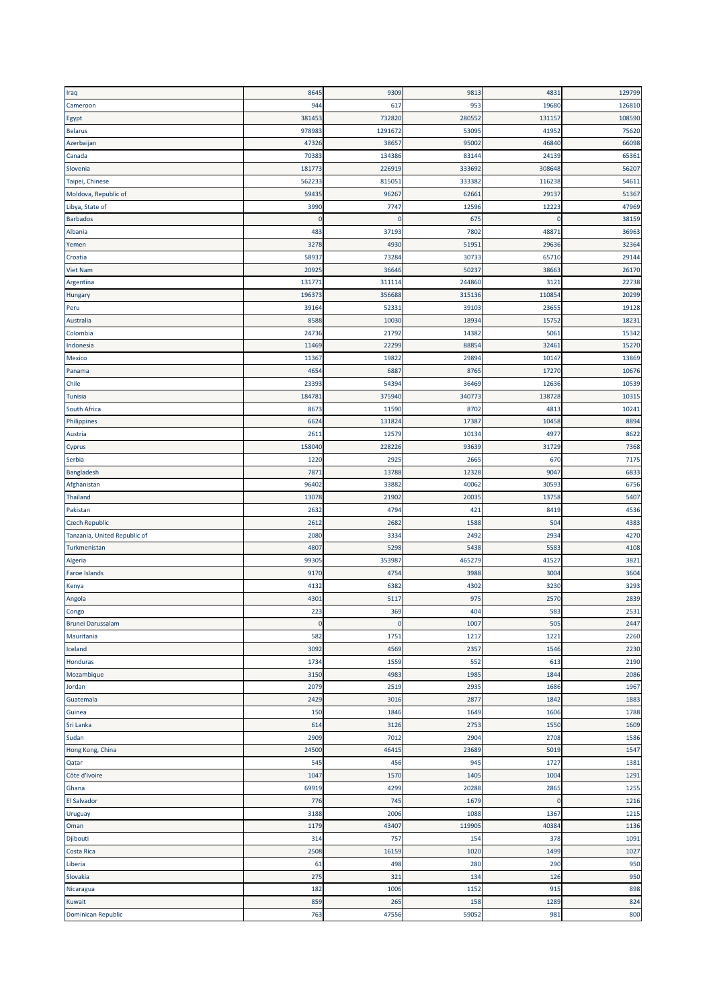| Iraq                         | 8645   | 9309         | 9813   | 4831   | 129799 |
|------------------------------|--------|--------------|--------|--------|--------|
| Cameroon                     | 944    | 617          | 953    | 19680  | 126810 |
| Egypt                        | 381453 | 732820       | 280552 | 13115  | 108590 |
| <b>Belarus</b>               | 978983 | 1291672      | 53095  | 41952  | 75620  |
| Azerbaijan                   | 47326  | 38657        | 95002  | 46840  | 66098  |
| Canada                       | 7038   | 134386       | 83144  | 24139  | 65361  |
| Slovenia                     | 181773 | 226919       | 333692 | 308648 | 56207  |
|                              | 562233 | 815051       |        | 116238 | 54611  |
| Taipei, Chinese              |        |              | 333382 |        |        |
| Moldova, Republic of         | 5943   | 96267        | 62661  | 29137  | 51367  |
| Libya, State of              | 3990   | 7747         | 12596  | 12223  | 47969  |
| Barbados                     | 0      | $\mathbf{0}$ | 675    | ſ      | 38159  |
| Albania                      | 483    | 37193        | 7802   | 4887   | 36963  |
| Yemen                        | 3278   | 4930         | 51951  | 29636  | 32364  |
| Croatia                      | 5893   | 73284        | 30733  | 65710  | 29144  |
| <b>Viet Nam</b>              | 2092   | 36646        | 50237  | 38663  | 26170  |
| Argentina                    | 13177  | 311114       | 244860 | 312    | 22738  |
| Hungary                      | 196373 | 356688       | 315136 | 110854 | 20299  |
| Peru                         | 39164  | 52331        | 39103  | 2365   | 19128  |
| Australia                    | 8588   | 10030        | 18934  | 15752  | 18231  |
| Colombia                     | 24736  | 21792        | 14382  | 5061   | 15342  |
| Indonesia                    | 11469  | 22299        | 88854  | 3246   | 15270  |
| Mexico                       | 1136   | 19822        | 29894  | 10147  | 13869  |
| Panama                       | 465    | 6887         | 8765   | 17270  | 10676  |
| Chile                        | 2339   | 54394        | 36469  | 12636  | 10539  |
| <b>Tunisia</b>               | 18478  | 375940       | 340773 | 138728 | 10315  |
| South Africa                 | 867    | 11590        | 8702   | 481    | 10241  |
|                              |        |              |        |        |        |
| Philippines                  | 662    | 131824       | 17387  | 10458  | 8894   |
| Austria                      | 2611   | 12579        | 10134  | 4977   | 8622   |
| Cyprus                       | 158040 | 228226       | 93639  | 31729  | 7368   |
| Serbia                       | 1220   | 2925         | 2665   | 670    | 7175   |
| Bangladesh                   | 787    | 13788        | 12328  | 9047   | 6833   |
| Afghanistan                  | 96402  | 33882        | 40062  | 30593  | 6756   |
| Thailand                     | 13078  | 21902        | 20035  | 13758  | 5407   |
| Pakistan                     | 263    | 4794         | 421    | 8419   | 4536   |
| <b>Czech Republic</b>        | 261    | 2682         | 1588   | 504    | 4383   |
| Tanzania, United Republic of | 2080   | 3334         | 2492   | 2934   | 4270   |
| Turkmenistan                 | 4807   | 5298         | 5438   | 5583   | 4108   |
| Algeria                      | 9930   | 353987       | 465279 | 41527  | 3821   |
| Faroe Islands                | 917    | 4754         | 3988   | 3004   | 3604   |
| Kenya                        | 4132   | 6382         | 4302   | 3230   | 3293   |
| Angola                       | 4301   | 5117         | 975    | 2570   | 2839   |
| Congo                        | 223    | 369          | 404    | 583    | 2531   |
| Brunei Darussalam            |        |              | 1007   | 505    | 2447   |
| Mauritania                   | 582    | 1751         | 1217   | 1221   | 2260   |
| Iceland                      | 3092   | 4569         | 2357   | 1546   | 2230   |
| Honduras                     | 1734   | 1559         | 552    | 613    | 2190   |
| Mozambique                   | 3150   | 4983         | 1985   | 1844   | 2086   |
|                              | 2079   | 2519         | 2935   |        | 1967   |
| Jordan                       |        |              |        | 1686   |        |
| Guatemala                    | 2429   | 3016         | 2877   | 1842   | 1883   |
| Guinea                       | 150    | 1846         | 1649   | 1606   | 1788   |
| Sri Lanka                    | 614    | 3126         | 2753   | 1550   | 1609   |
| Sudan                        | 2909   | 7012         | 2904   | 2708   | 1586   |
| Hong Kong, China             | 24500  | 46415        | 23689  | 5019   | 1547   |
| Qatar                        | 545    | 456          | 945    | 1727   | 1381   |
| Côte d'Ivoire                | 1047   | 1570         | 1405   | 1004   | 1291   |
| Ghana                        | 69919  | 4299         | 20288  | 2865   | 1255   |
| El Salvador                  | 776    | 745          | 1679   | C.     | 1216   |
| Uruguay                      | 3188   | 2006         | 1088   | 1367   | 1215   |
| Oman                         | 1179   | 43407        | 119905 | 40384  | 1136   |
| Djibouti                     | 314    | 757          | 154    | 378    | 1091   |
| Costa Rica                   | 2508   | 16159        | 1020   | 1499   | 1027   |
| Liberia                      | 61     | 498          | 280    | 290    | 950    |
| Slovakia                     | 275    | 321          | 134    | 126    | 950    |
| Nicaragua                    | 182    | 1006         | 1152   | 915    | 898    |
| Kuwait                       | 859    | 265          | 158    | 1289   | 824    |
| Dominican Republic           | 763    | 47556        | 59052  | 981    | 800    |
|                              |        |              |        |        |        |